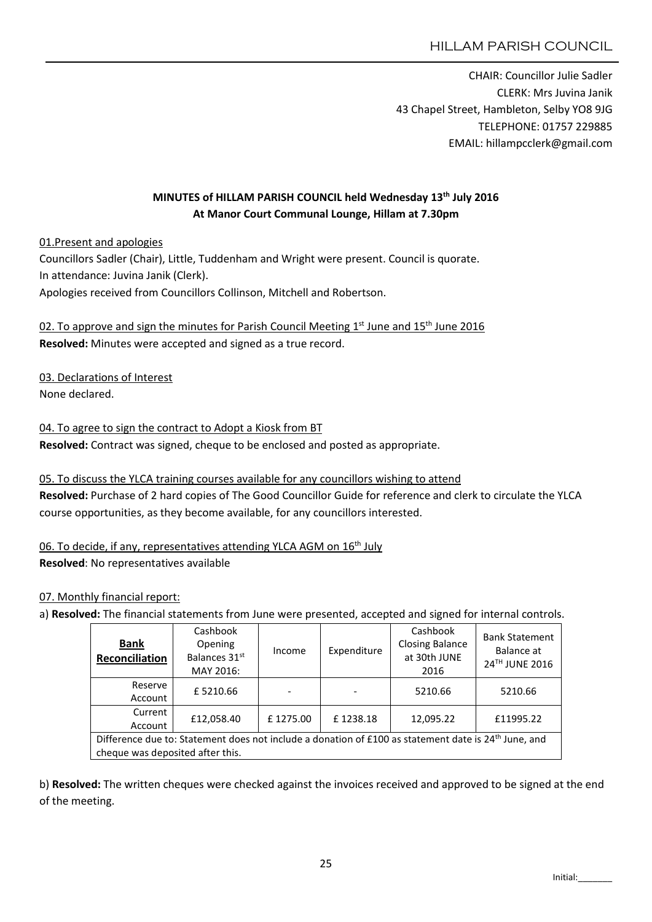CHAIR: Councillor Julie Sadler CLERK: Mrs Juvina Janik 43 Chapel Street, Hambleton, Selby YO8 9JG TELEPHONE: 01757 229885 EMAIL: hillampcclerk@gmail.com

# MINUTES of HILLAM PARISH COUNCIL held Wednesday 13th July 2016 At Manor Court Communal Lounge, Hillam at 7.30pm

01.Present and apologies

Councillors Sadler (Chair), Little, Tuddenham and Wright were present. Council is quorate. In attendance: Juvina Janik (Clerk). Apologies received from Councillors Collinson, Mitchell and Robertson.

02. To approve and sign the minutes for Parish Council Meeting  $1<sup>st</sup>$  June and  $15<sup>th</sup>$  June 2016 Resolved: Minutes were accepted and signed as a true record.

03. Declarations of Interest None declared.

04. To agree to sign the contract to Adopt a Kiosk from BT Resolved: Contract was signed, cheque to be enclosed and posted as appropriate.

05. To discuss the YLCA training courses available for any councillors wishing to attend Resolved: Purchase of 2 hard copies of The Good Councillor Guide for reference and clerk to circulate the YLCA course opportunities, as they become available, for any councillors interested.

06. To decide, if any, representatives attending YLCA AGM on 16<sup>th</sup> July Resolved: No representatives available

#### 07. Monthly financial report:

a) Resolved: The financial statements from June were presented, accepted and signed for internal controls.

| <b>Bank</b><br>Reconciliation                                                                                    | Cashbook<br>Opening<br>Balances 31st<br>MAY 2016: | Income   | Expenditure | Cashbook<br><b>Closing Balance</b><br>at 30th JUNE<br>2016 | <b>Bank Statement</b><br>Balance at<br>24TH JUNE 2016 |  |
|------------------------------------------------------------------------------------------------------------------|---------------------------------------------------|----------|-------------|------------------------------------------------------------|-------------------------------------------------------|--|
| Reserve<br>Account                                                                                               | £5210.66                                          |          |             | 5210.66                                                    | 5210.66                                               |  |
| Current<br>Account                                                                                               | £12,058.40                                        | £1275.00 | £1238.18    | 12,095.22                                                  | £11995.22                                             |  |
| Difference due to: Statement does not include a donation of £100 as statement date is 24 <sup>th</sup> June, and |                                                   |          |             |                                                            |                                                       |  |
| cheque was deposited after this.                                                                                 |                                                   |          |             |                                                            |                                                       |  |

b) Resolved: The written cheques were checked against the invoices received and approved to be signed at the end of the meeting.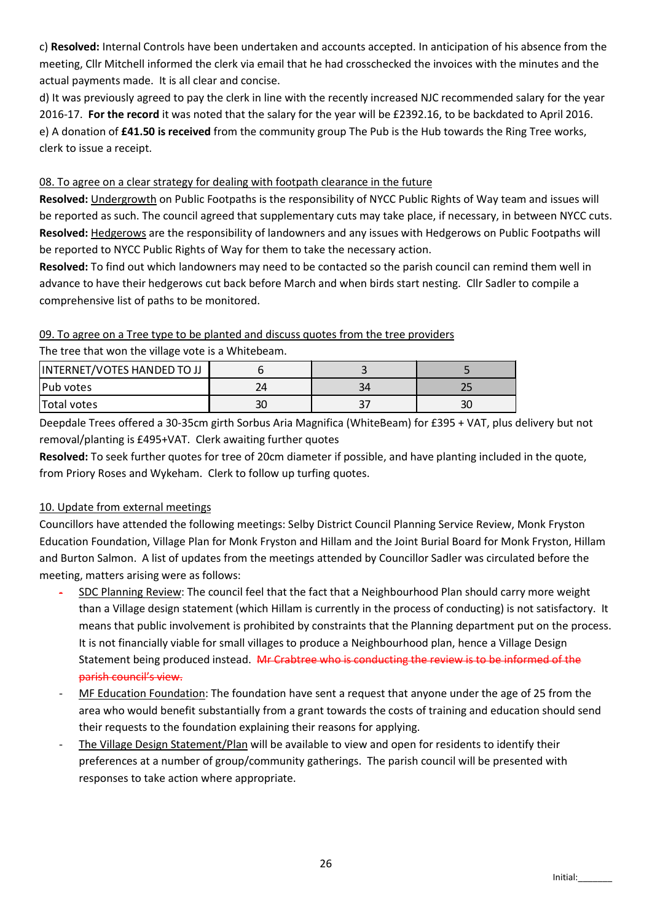c) Resolved: Internal Controls have been undertaken and accounts accepted. In anticipation of his absence from the meeting, Cllr Mitchell informed the clerk via email that he had crosschecked the invoices with the minutes and the actual payments made. It is all clear and concise.

d) It was previously agreed to pay the clerk in line with the recently increased NJC recommended salary for the year 2016-17. For the record it was noted that the salary for the year will be £2392.16, to be backdated to April 2016. e) A donation of £41.50 is received from the community group The Pub is the Hub towards the Ring Tree works, clerk to issue a receipt.

# 08. To agree on a clear strategy for dealing with footpath clearance in the future

Resolved: Undergrowth on Public Footpaths is the responsibility of NYCC Public Rights of Way team and issues will be reported as such. The council agreed that supplementary cuts may take place, if necessary, in between NYCC cuts. Resolved: Hedgerows are the responsibility of landowners and any issues with Hedgerows on Public Footpaths will be reported to NYCC Public Rights of Way for them to take the necessary action.

Resolved: To find out which landowners may need to be contacted so the parish council can remind them well in advance to have their hedgerows cut back before March and when birds start nesting. Cllr Sadler to compile a comprehensive list of paths to be monitored.

### 09. To agree on a Tree type to be planted and discuss quotes from the tree providers

| The tree that won the village vote is a Whitebeam. |  |    |  |  |  |  |
|----------------------------------------------------|--|----|--|--|--|--|
| INTERNET/VOTES HANDED TO JJ                        |  |    |  |  |  |  |
| lPub votes                                         |  | 34 |  |  |  |  |
| <b>Total votes</b>                                 |  |    |  |  |  |  |

Deepdale Trees offered a 30-35cm girth Sorbus Aria Magnifica (WhiteBeam) for £395 + VAT, plus delivery but not removal/planting is £495+VAT. Clerk awaiting further quotes

Resolved: To seek further quotes for tree of 20cm diameter if possible, and have planting included in the quote, from Priory Roses and Wykeham. Clerk to follow up turfing quotes.

# 10. Update from external meetings

Councillors have attended the following meetings: Selby District Council Planning Service Review, Monk Fryston Education Foundation, Village Plan for Monk Fryston and Hillam and the Joint Burial Board for Monk Fryston, Hillam and Burton Salmon. A list of updates from the meetings attended by Councillor Sadler was circulated before the meeting, matters arising were as follows:

- SDC Planning Review: The council feel that the fact that a Neighbourhood Plan should carry more weight than a Village design statement (which Hillam is currently in the process of conducting) is not satisfactory. It means that public involvement is prohibited by constraints that the Planning department put on the process. It is not financially viable for small villages to produce a Neighbourhood plan, hence a Village Design Statement being produced instead. Mr Crabtree who is conducting the review is to be informed of the parish council's view.
- MF Education Foundation: The foundation have sent a request that anyone under the age of 25 from the area who would benefit substantially from a grant towards the costs of training and education should send their requests to the foundation explaining their reasons for applying.
- The Village Design Statement/Plan will be available to view and open for residents to identify their preferences at a number of group/community gatherings. The parish council will be presented with responses to take action where appropriate.